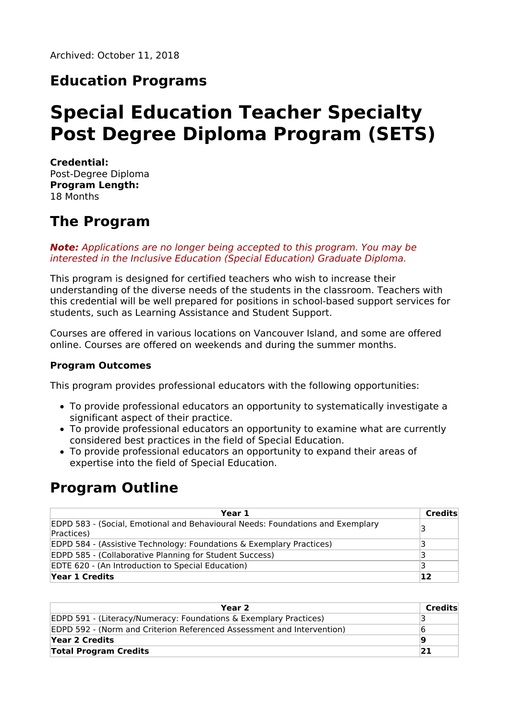### **Education Programs**

# **Special Education Teacher Specialty Post Degree Diploma Program (SETS)**

**Credential:** Post-Degree Diploma **Program Length:** 18 Months

### **The Program**

**Note:** Applications are no longer being accepted to this program. You may be interested in the Inclusive Education (Special Education) Graduate Diploma.

This program is designed for certified teachers who wish to increase their understanding of the diverse needs of the students in the classroom. Teachers with this credential will be well prepared for positions in school-based support services for students, such as Learning Assistance and Student Support.

Courses are offered in various locations on Vancouver Island, and some are offered online. Courses are offered on weekends and during the summer months.

#### **Program Outcomes**

This program provides professional educators with the following opportunities:

- To provide professional educators an opportunity to systematically investigate a significant aspect of their practice.
- To provide professional educators an opportunity to examine what are currently considered best practices in the field of Special Education.
- To provide professional educators an opportunity to expand their areas of expertise into the field of Special Education.

### **Program Outline**

| Year 1                                                                                              | Credits |
|-----------------------------------------------------------------------------------------------------|---------|
| <b>EDPD 583 - (Social, Emotional and Behavioural Needs: Foundations and Exemplary</b><br>Practices) | 3       |
| EDPD 584 - (Assistive Technology: Foundations & Exemplary Practices)                                |         |
| EDPD 585 - (Collaborative Planning for Student Success)                                             |         |
| EDTE 620 - (An Introduction to Special Education)                                                   |         |
| Year 1 Credits                                                                                      | 12      |

| Year 2                                                                       | Credits |
|------------------------------------------------------------------------------|---------|
| <b>EDPD 591 - (Literacy/Numeracy: Foundations &amp; Exemplary Practices)</b> |         |
| EDPD 592 - (Norm and Criterion Referenced Assessment and Intervention)       |         |
| Year 2 Credits                                                               | 19      |
| <b>Total Program Credits</b>                                                 |         |